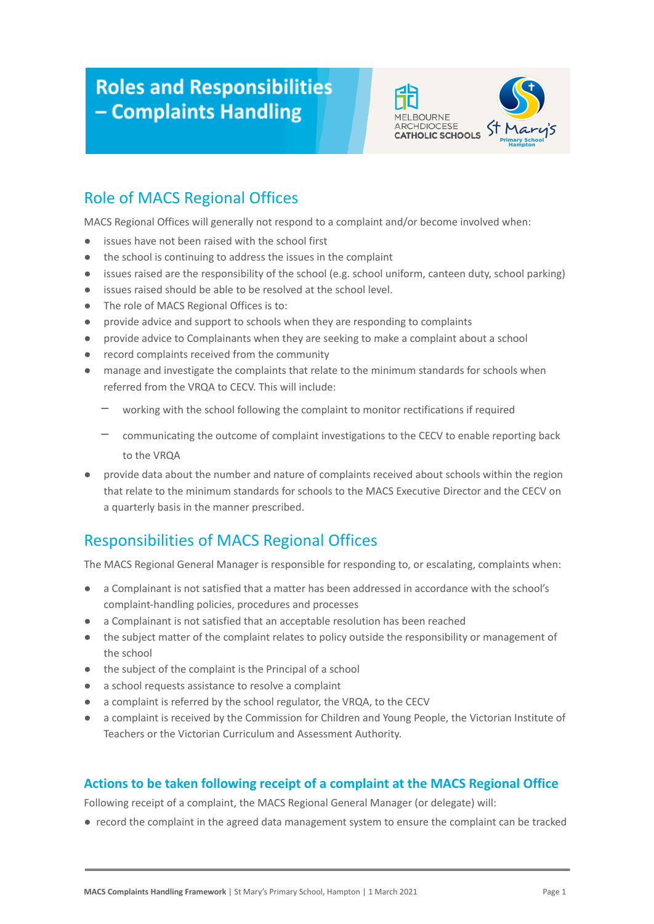# **Roles and Responsibilities** - Complaints Handling



# Role of MACS Regional Offices

MACS Regional Offices will generally not respond to a complaint and/or become involved when:

- issues have not been raised with the school first
- the school is continuing to address the issues in the complaint
- issues raised are the responsibility of the school (e.g. school uniform, canteen duty, school parking)
- issues raised should be able to be resolved at the school level.
- The role of MACS Regional Offices is to:
- provide advice and support to schools when they are responding to complaints
- provide advice to Complainants when they are seeking to make a complaint about a school
- record complaints received from the community
- manage and investigate the complaints that relate to the minimum standards for schools when referred from the VRQA to CECV. This will include:
	- working with the school following the complaint to monitor rectifications if required
	- communicating the outcome of complaint investigations to the CECV to enable reporting back to the VRQA
- provide data about the number and nature of complaints received about schools within the region that relate to the minimum standards for schools to the MACS Executive Director and the CECV on a quarterly basis in the manner prescribed.

## Responsibilities of MACS Regional Offices

The MACS Regional General Manager is responsible for responding to, or escalating, complaints when:

- a Complainant is not satisfied that a matter has been addressed in accordance with the school's complaint-handling policies, procedures and processes
- a Complainant is not satisfied that an acceptable resolution has been reached
- the subject matter of the complaint relates to policy outside the responsibility or management of the school
- the subject of the complaint is the Principal of a school
- a school requests assistance to resolve a complaint
- a complaint is referred by the school regulator, the VRQA, to the CECV
- a complaint is received by the Commission for Children and Young People, the Victorian Institute of Teachers or the Victorian Curriculum and Assessment Authority.

#### **Actions to be taken following receipt of a complaint at the MACS Regional Office**

Following receipt of a complaint, the MACS Regional General Manager (or delegate) will:

● record the complaint in the agreed data management system to ensure the complaint can be tracked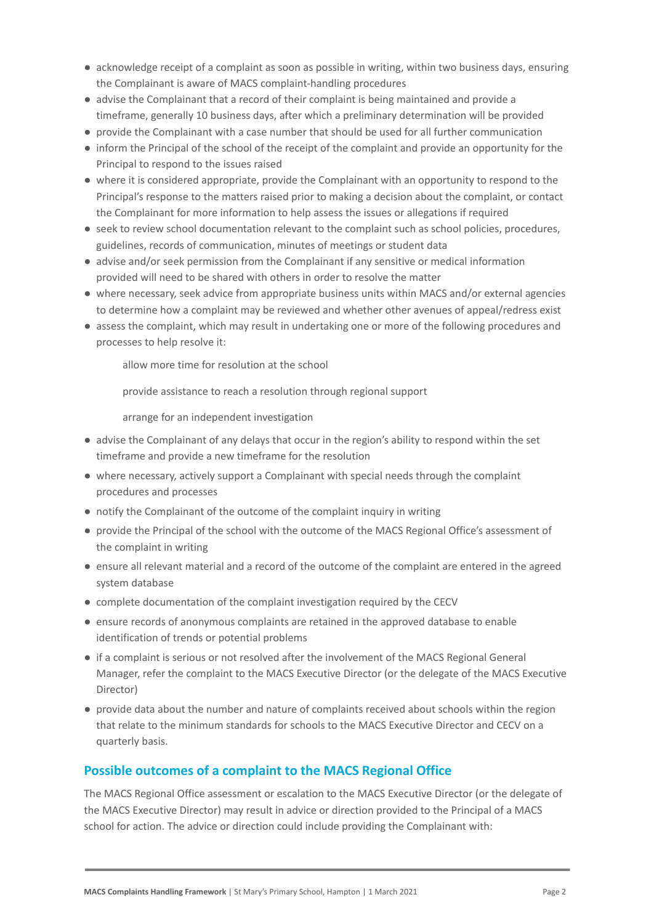- acknowledge receipt of a complaint as soon as possible in writing, within two business days, ensuring the Complainant is aware of MACS complaint-handling procedures
- advise the Complainant that a record of their complaint is being maintained and provide a timeframe, generally 10 business days, after which a preliminary determination will be provided
- provide the Complainant with a case number that should be used for all further communication
- inform the Principal of the school of the receipt of the complaint and provide an opportunity for the Principal to respond to the issues raised
- where it is considered appropriate, provide the Complainant with an opportunity to respond to the Principal's response to the matters raised prior to making a decision about the complaint, or contact the Complainant for more information to help assess the issues or allegations if required
- seek to review school documentation relevant to the complaint such as school policies, procedures, guidelines, records of communication, minutes of meetings or student data
- advise and/or seek permission from the Complainant if any sensitive or medical information provided will need to be shared with others in order to resolve the matter
- where necessary, seek advice from appropriate business units within MACS and/or external agencies to determine how a complaint may be reviewed and whether other avenues of appeal/redress exist
- assess the complaint, which may result in undertaking one or more of the following procedures and processes to help resolve it:

allow more time for resolution at the school

- provide assistance to reach a resolution through regional support

arrange for an independent investigation

- advise the Complainant of any delays that occur in the region's ability to respond within the set timeframe and provide a new timeframe for the resolution
- where necessary, actively support a Complainant with special needs through the complaint procedures and processes
- notify the Complainant of the outcome of the complaint inquiry in writing
- provide the Principal of the school with the outcome of the MACS Regional Office's assessment of the complaint in writing
- ensure all relevant material and a record of the outcome of the complaint are entered in the agreed system database
- complete documentation of the complaint investigation required by the CECV
- ensure records of anonymous complaints are retained in the approved database to enable identification of trends or potential problems
- if a complaint is serious or not resolved after the involvement of the MACS Regional General Manager, refer the complaint to the MACS Executive Director (or the delegate of the MACS Executive Director)
- provide data about the number and nature of complaints received about schools within the region that relate to the minimum standards for schools to the MACS Executive Director and CECV on a quarterly basis.

#### **Possible outcomes of a complaint to the MACS Regional Office**

The MACS Regional Office assessment or escalation to the MACS Executive Director (or the delegate of the MACS Executive Director) may result in advice or direction provided to the Principal of a MACS school for action. The advice or direction could include providing the Complainant with: